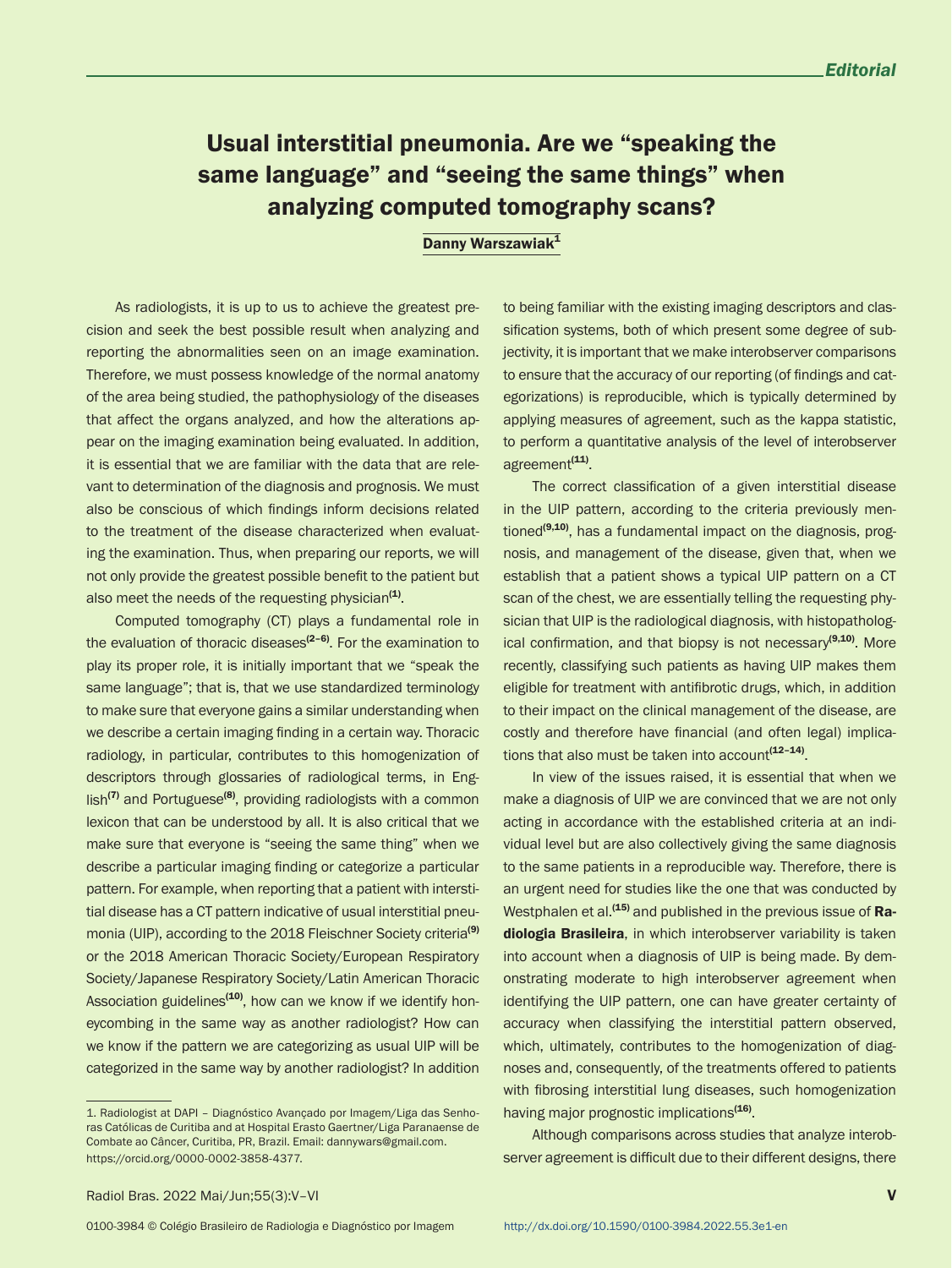## Usual interstitial pneumonia. Are we "speaking the same language" and "seeing the same things" when analyzing computed tomography scans?

## Danny Warszawiak<sup>1</sup>

As radiologists, it is up to us to achieve the greatest precision and seek the best possible result when analyzing and reporting the abnormalities seen on an image examination. Therefore, we must possess knowledge of the normal anatomy of the area being studied, the pathophysiology of the diseases that affect the organs analyzed, and how the alterations appear on the imaging examination being evaluated. In addition, it is essential that we are familiar with the data that are relevant to determination of the diagnosis and prognosis. We must also be conscious of which findings inform decisions related to the treatment of the disease characterized when evaluating the examination. Thus, when preparing our reports, we will not only provide the greatest possible benefit to the patient but also meet the needs of the requesting physician<sup>(1)</sup>.

Computed tomography (CT) plays a fundamental role in the evaluation of thoracic diseases $(2-6)$ . For the examination to play its proper role, it is initially important that we "speak the same language"; that is, that we use standardized terminology to make sure that everyone gains a similar understanding when we describe a certain imaging finding in a certain way. Thoracic radiology, in particular, contributes to this homogenization of descriptors through glossaries of radiological terms, in Eng- $\sin^{(7)}$  and Portuguese<sup>(8)</sup>, providing radiologists with a common lexicon that can be understood by all. It is also critical that we make sure that everyone is "seeing the same thing" when we describe a particular imaging finding or categorize a particular pattern. For example, when reporting that a patient with interstitial disease has a CT pattern indicative of usual interstitial pneumonia (UIP), according to the 2018 Fleischner Society criteria<sup>(9)</sup> or the 2018 American Thoracic Society/European Respiratory Society/Japanese Respiratory Society/Latin American Thoracic Association guidelines<sup>(10)</sup>, how can we know if we identify honeycombing in the same way as another radiologist? How can we know if the pattern we are categorizing as usual UIP will be categorized in the same way by another radiologist? In addition

to being familiar with the existing imaging descriptors and classification systems, both of which present some degree of subjectivity, it is important that we make interobserver comparisons to ensure that the accuracy of our reporting (of findings and categorizations) is reproducible, which is typically determined by applying measures of agreement, such as the kappa statistic, to perform a quantitative analysis of the level of interobserver agreement<sup>(11)</sup>.

The correct classification of a given interstitial disease in the UIP pattern, according to the criteria previously mentioned $(9,10)$ , has a fundamental impact on the diagnosis, prognosis, and management of the disease, given that, when we establish that a patient shows a typical UIP pattern on a CT scan of the chest, we are essentially telling the requesting physician that UIP is the radiological diagnosis, with histopathological confirmation, and that biopsy is not necessary<sup>(9,10)</sup>. More recently, classifying such patients as having UIP makes them eligible for treatment with antifibrotic drugs, which, in addition to their impact on the clinical management of the disease, are costly and therefore have financial (and often legal) implications that also must be taken into account $(12-14)$ .

In view of the issues raised, it is essential that when we make a diagnosis of UIP we are convinced that we are not only acting in accordance with the established criteria at an individual level but are also collectively giving the same diagnosis to the same patients in a reproducible way. Therefore, there is an urgent need for studies like the one that was conducted by Westphalen et al. $(15)$  and published in the previous issue of Radiologia Brasileira, in which interobserver variability is taken into account when a diagnosis of UIP is being made. By demonstrating moderate to high interobserver agreement when identifying the UIP pattern, one can have greater certainty of accuracy when classifying the interstitial pattern observed, which, ultimately, contributes to the homogenization of diagnoses and, consequently, of the treatments offered to patients with fibrosing interstitial lung diseases, such homogenization having major prognostic implications<sup>(16)</sup>.

Although comparisons across studies that analyze interobserver agreement is difficult due to their different designs, there

<sup>1.</sup> Radiologist at DAPI – Diagnóstico Avançado por Imagem/Liga das Senhoras Católicas de Curitiba and at Hospital Erasto Gaertner/Liga Paranaense de Combate ao Câncer, Curitiba, PR, Brazil. Email: dannywars@gmail.com. https://orcid.org/0000-0002-3858-4377.